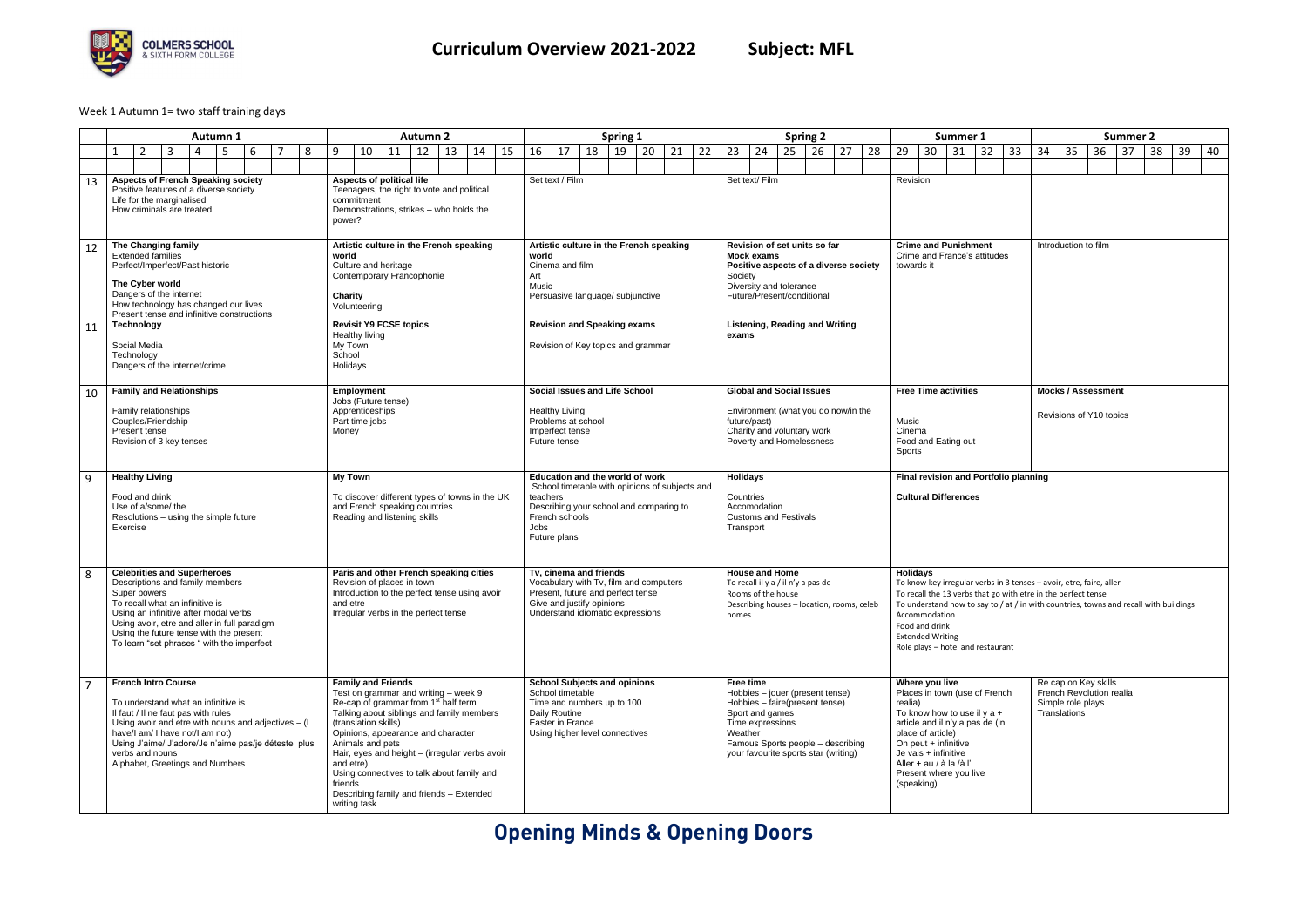## **Opening Minds & Opening Doors**



## Week 1 Autumn 1= two staff training days

|    | <b>Autumn 1</b>                                                                                                                                                                                                                                                                                            |                                                                                                                                                                                                   |   |                                                                                                            |                                                                                                                                                                           |                                                                                                                                  | <b>Autumn 2</b>                                                                                                                            |    |                                                                                                                                                                                                                                                                       |                                                                                                                                                                        |                                                                                                |                                                | Spring 1                                                                                                                                                     |    |                                                                                                                                          |                                                                                                                                                         |               | <b>Spring 2</b> |    |                                                             |                                                                                                                                                                                                                                                                                                                                                         |                                                                                                   |          |                                                                                                              | Summer 1<br><b>Summer 2</b> |    |                                                                                                                                                                                                                                                                          |    |    |    |    |              |                                           |                                                      |    |    |    |
|----|------------------------------------------------------------------------------------------------------------------------------------------------------------------------------------------------------------------------------------------------------------------------------------------------------------|---------------------------------------------------------------------------------------------------------------------------------------------------------------------------------------------------|---|------------------------------------------------------------------------------------------------------------|---------------------------------------------------------------------------------------------------------------------------------------------------------------------------|----------------------------------------------------------------------------------------------------------------------------------|--------------------------------------------------------------------------------------------------------------------------------------------|----|-----------------------------------------------------------------------------------------------------------------------------------------------------------------------------------------------------------------------------------------------------------------------|------------------------------------------------------------------------------------------------------------------------------------------------------------------------|------------------------------------------------------------------------------------------------|------------------------------------------------|--------------------------------------------------------------------------------------------------------------------------------------------------------------|----|------------------------------------------------------------------------------------------------------------------------------------------|---------------------------------------------------------------------------------------------------------------------------------------------------------|---------------|-----------------|----|-------------------------------------------------------------|---------------------------------------------------------------------------------------------------------------------------------------------------------------------------------------------------------------------------------------------------------------------------------------------------------------------------------------------------------|---------------------------------------------------------------------------------------------------|----------|--------------------------------------------------------------------------------------------------------------|-----------------------------|----|--------------------------------------------------------------------------------------------------------------------------------------------------------------------------------------------------------------------------------------------------------------------------|----|----|----|----|--------------|-------------------------------------------|------------------------------------------------------|----|----|----|
|    | 1                                                                                                                                                                                                                                                                                                          | $\overline{2}$<br>3                                                                                                                                                                               | 4 | 6                                                                                                          |                                                                                                                                                                           | 8                                                                                                                                | 9                                                                                                                                          | 10 | 11                                                                                                                                                                                                                                                                    | 12                                                                                                                                                                     | 13                                                                                             | 15<br>14                                       | 16                                                                                                                                                           | 17 | 18                                                                                                                                       | 19                                                                                                                                                      | 20            | 21              | 22 | 23                                                          | 24                                                                                                                                                                                                                                                                                                                                                      | 25                                                                                                | 26       | 27                                                                                                           | 28                          | 29 | 30                                                                                                                                                                                                                                                                       | 31 | 32 | 33 | 34 |              | 35                                        | 36<br>37                                             | 38 | 39 | 40 |
|    |                                                                                                                                                                                                                                                                                                            |                                                                                                                                                                                                   |   |                                                                                                            |                                                                                                                                                                           |                                                                                                                                  |                                                                                                                                            |    |                                                                                                                                                                                                                                                                       |                                                                                                                                                                        |                                                                                                |                                                |                                                                                                                                                              |    |                                                                                                                                          |                                                                                                                                                         |               |                 |    |                                                             |                                                                                                                                                                                                                                                                                                                                                         |                                                                                                   |          |                                                                                                              |                             |    |                                                                                                                                                                                                                                                                          |    |    |    |    |              |                                           |                                                      |    |    |    |
| 13 | <b>Aspects of French Speaking society</b><br>Positive features of a diverse society<br>Life for the marginalised<br>How criminals are treated                                                                                                                                                              |                                                                                                                                                                                                   |   |                                                                                                            |                                                                                                                                                                           |                                                                                                                                  | Aspects of political life<br>Teenagers, the right to vote and political<br>commitment<br>Demonstrations, strikes - who holds the<br>power? |    |                                                                                                                                                                                                                                                                       |                                                                                                                                                                        |                                                                                                | Set text / Film                                |                                                                                                                                                              |    |                                                                                                                                          |                                                                                                                                                         | Set text/Film |                 |    |                                                             |                                                                                                                                                                                                                                                                                                                                                         |                                                                                                   | Revision |                                                                                                              |                             |    |                                                                                                                                                                                                                                                                          |    |    |    |    |              |                                           |                                                      |    |    |    |
| 12 | The Changing family<br><b>Extended families</b><br>Perfect/Imperfect/Past historic<br>The Cyber world<br>Dangers of the internet<br>How technology has changed our lives<br>Present tense and infinitive constructions                                                                                     |                                                                                                                                                                                                   |   |                                                                                                            |                                                                                                                                                                           | Artistic culture in the French speaking<br>world<br>Culture and heritage<br>Contemporary Francophonie<br>Charity<br>Volunteering |                                                                                                                                            |    |                                                                                                                                                                                                                                                                       | world<br>Art<br>Music                                                                                                                                                  | Artistic culture in the French speaking<br>Cinema and film<br>Persuasive language/ subjunctive |                                                |                                                                                                                                                              |    |                                                                                                                                          | Revision of set units so far<br>Mock exams<br>Positive aspects of a diverse society<br>Society<br>Diversity and tolerance<br>Future/Present/conditional |               |                 |    |                                                             |                                                                                                                                                                                                                                                                                                                                                         | <b>Crime and Punishment</b><br>Introduction to film<br>Crime and France's attitudes<br>towards it |          |                                                                                                              |                             |    |                                                                                                                                                                                                                                                                          |    |    |    |    |              |                                           |                                                      |    |    |    |
| 11 |                                                                                                                                                                                                                                                                                                            | Technology<br>Social Media<br>Technology<br>Dangers of the internet/crime                                                                                                                         |   |                                                                                                            |                                                                                                                                                                           |                                                                                                                                  | Healthy living<br>My Town<br>School<br>Holidays                                                                                            |    | <b>Revisit Y9 FCSE topics</b>                                                                                                                                                                                                                                         |                                                                                                                                                                        |                                                                                                |                                                | <b>Revision and Speaking exams</b><br>Revision of Key topics and grammar                                                                                     |    |                                                                                                                                          |                                                                                                                                                         |               |                 |    | exams                                                       |                                                                                                                                                                                                                                                                                                                                                         |                                                                                                   |          | <b>Listening, Reading and Writing</b>                                                                        |                             |    |                                                                                                                                                                                                                                                                          |    |    |    |    |              |                                           |                                                      |    |    |    |
| 10 |                                                                                                                                                                                                                                                                                                            | <b>Family and Relationships</b><br>Family relationships<br>Couples/Friendship<br>Present tense<br>Revision of 3 key tenses                                                                        |   |                                                                                                            |                                                                                                                                                                           |                                                                                                                                  | Employment<br>Jobs (Future tense)<br>Apprenticeships<br>Part time jobs<br>Money                                                            |    |                                                                                                                                                                                                                                                                       |                                                                                                                                                                        |                                                                                                |                                                | <b>Healthy Living</b><br>Problems at school<br>Imperfect tense<br>Future tense                                                                               |    | Social Issues and Life School                                                                                                            |                                                                                                                                                         |               |                 |    | future/past)                                                |                                                                                                                                                                                                                                                                                                                                                         | <b>Global and Social Issues</b><br>Charity and voluntary work<br>Poverty and Homelessness         |          | Environment (what you do now/in the                                                                          |                             |    | <b>Free Time activities</b><br>Music<br>Cinema<br>Food and Eating out<br>Sports                                                                                                                                                                                          |    |    |    |    |              |                                           | <b>Mocks / Assessment</b><br>Revisions of Y10 topics |    |    |    |
| 9  |                                                                                                                                                                                                                                                                                                            | <b>Healthy Living</b><br>Food and drink<br>Use of a/some/ the<br>Resolutions - using the simple future<br>Exercise                                                                                |   |                                                                                                            |                                                                                                                                                                           |                                                                                                                                  | <b>My Town</b>                                                                                                                             |    | and French speaking countries<br>Reading and listening skills                                                                                                                                                                                                         |                                                                                                                                                                        |                                                                                                | To discover different types of towns in the UK | Education and the world of work<br>teachers<br>Describing your school and comparing to<br>French schools<br>Jobs<br>Future plans                             |    | School timetable with opinions of subjects and                                                                                           |                                                                                                                                                         |               |                 |    | <b>Holidays</b><br>Countries<br>Accomodation<br>Transport   |                                                                                                                                                                                                                                                                                                                                                         | <b>Customs and Festivals</b>                                                                      |          |                                                                                                              |                             |    | Final revision and Portfolio planning<br><b>Cultural Differences</b>                                                                                                                                                                                                     |    |    |    |    |              |                                           |                                                      |    |    |    |
| 8  | <b>Celebrities and Superheroes</b><br>Descriptions and family members<br>Super powers<br>To recall what an infinitive is<br>Using an infinitive after modal verbs<br>Using avoir, etre and aller in full paradigm<br>Using the future tense with the present<br>To learn "set phrases " with the imperfect |                                                                                                                                                                                                   |   |                                                                                                            | Paris and other French speaking cities<br>Revision of places in town<br>Introduction to the perfect tense using avoir<br>and etre<br>Irregular verbs in the perfect tense |                                                                                                                                  |                                                                                                                                            |    |                                                                                                                                                                                                                                                                       | Tv. cinema and friends<br>Vocabulary with Tv, film and computers<br>Present, future and perfect tense<br>Give and justify opinions<br>Understand idiomatic expressions |                                                                                                |                                                |                                                                                                                                                              |    | <b>House and Home</b><br>To recall il y a / il n'y a pas de<br>Rooms of the house<br>Describing houses - location, rooms, celeb<br>homes |                                                                                                                                                         |               |                 |    |                                                             | <b>Holidays</b><br>To know key irregular verbs in 3 tenses - avoir, etre, faire, aller<br>To recall the 13 verbs that go with etre in the perfect tense<br>To understand how to say to $/$ at $/$ in with countries, towns and recall with buildings<br>Accommodation<br>Food and drink<br><b>Extended Writing</b><br>Role plays - hotel and restaurant |                                                                                                   |          |                                                                                                              |                             |    |                                                                                                                                                                                                                                                                          |    |    |    |    |              |                                           |                                                      |    |    |    |
|    |                                                                                                                                                                                                                                                                                                            | <b>French Intro Course</b><br>To understand what an infinitive is<br>Il faut / Il ne faut pas with rules<br>have/I am/ I have not/I am not)<br>verbs and nouns<br>Alphabet, Greetings and Numbers |   | Using avoir and etre with nouns and adjectives – (I<br>Using J'aime/ J'adore/Je n'aime pas/je déteste plus |                                                                                                                                                                           |                                                                                                                                  | <b>Family and Friends</b><br>(translation skills)<br>Animals and pets<br>and etre)<br>friends<br>writing task                              |    | Test on grammar and writing - week 9<br>Re-cap of grammar from 1 <sup>st</sup> half term<br>Talking about siblings and family members<br>Opinions, appearance and character<br>Using connectives to talk about family and<br>Describing family and friends - Extended |                                                                                                                                                                        |                                                                                                | Hair, eyes and height - (irregular verbs avoir | <b>School Subjects and opinions</b><br>School timetable<br>Time and numbers up to 100<br>Daily Routine<br>Easter in France<br>Using higher level connectives |    |                                                                                                                                          |                                                                                                                                                         |               |                 |    | Free time<br>Sport and games<br>Time expressions<br>Weather |                                                                                                                                                                                                                                                                                                                                                         | Hobbies - faire(present tense)                                                                    |          | Hobbies - jouer (present tense)<br>Famous Sports people - describing<br>your favourite sports star (writing) |                             |    | Where you live<br>Places in town (use of French<br>realia)<br>To know how to use il $y$ a +<br>article and il n'y a pas de (in<br>place of article)<br>On peut $+$ infinitive<br>Je vais + infinitive<br>Aller + au / à la /à l'<br>Present where you live<br>(speaking) |    |    |    |    | Translations | Re cap on Key skills<br>Simple role plays | French Revolution realia                             |    |    |    |

|                           |                                                                                                                                          | Summer 1 |                                                                                                   |    | <b>Summer 2</b>                                                                                                                                                                                                                   |    |    |    |    |    |    |  |  |  |  |  |  |
|---------------------------|------------------------------------------------------------------------------------------------------------------------------------------|----------|---------------------------------------------------------------------------------------------------|----|-----------------------------------------------------------------------------------------------------------------------------------------------------------------------------------------------------------------------------------|----|----|----|----|----|----|--|--|--|--|--|--|
| 29                        | 30                                                                                                                                       | 31       | 32                                                                                                | 33 | 34                                                                                                                                                                                                                                | 35 | 36 | 37 | 38 | 39 | 40 |  |  |  |  |  |  |
|                           |                                                                                                                                          |          |                                                                                                   |    |                                                                                                                                                                                                                                   |    |    |    |    |    |    |  |  |  |  |  |  |
| Revision                  |                                                                                                                                          |          |                                                                                                   |    |                                                                                                                                                                                                                                   |    |    |    |    |    |    |  |  |  |  |  |  |
| towards it                | <b>Crime and Punishment</b>                                                                                                              |          | Crime and France's attitudes                                                                      |    | Introduction to film                                                                                                                                                                                                              |    |    |    |    |    |    |  |  |  |  |  |  |
|                           |                                                                                                                                          |          |                                                                                                   |    |                                                                                                                                                                                                                                   |    |    |    |    |    |    |  |  |  |  |  |  |
|                           | <b>Free Time activities</b>                                                                                                              |          |                                                                                                   |    | <b>Mocks / Assessment</b>                                                                                                                                                                                                         |    |    |    |    |    |    |  |  |  |  |  |  |
| Music<br>Cinema<br>Sports | Food and Eating out                                                                                                                      |          |                                                                                                   |    | Revisions of Y10 topics                                                                                                                                                                                                           |    |    |    |    |    |    |  |  |  |  |  |  |
|                           |                                                                                                                                          |          | Final revision and Portfolio planning                                                             |    |                                                                                                                                                                                                                                   |    |    |    |    |    |    |  |  |  |  |  |  |
|                           | <b>Cultural Differences</b>                                                                                                              |          |                                                                                                   |    |                                                                                                                                                                                                                                   |    |    |    |    |    |    |  |  |  |  |  |  |
| <b>Holidays</b>           | Accommodation<br>Food and drink<br><b>Extended Writing</b>                                                                               |          | Role plays - hotel and restaurant                                                                 |    | To know key irregular verbs in 3 tenses - avoir, etre, faire, aller<br>To recall the 13 verbs that go with etre in the perfect tense<br>To understand how to say to $/$ at $/$ in with countries, towns and recall with buildings |    |    |    |    |    |    |  |  |  |  |  |  |
| realia)<br>(speaking)     | Where you live<br>place of article)<br>On peut + infinitive<br>Je vais + infinitive<br>Aller + au / à la /à l'<br>Present where you live |          | Places in town (use of French<br>To know how to use il y a $+$<br>article and il n'y a pas de (in |    | Re cap on Key skills<br>French Revolution realia<br>Simple role plays<br>Translations                                                                                                                                             |    |    |    |    |    |    |  |  |  |  |  |  |